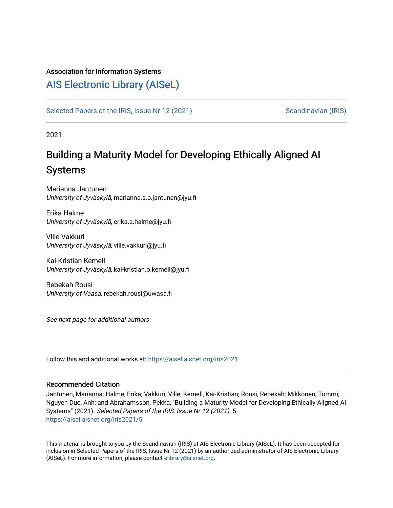#### Association for Information Systems

# [AIS Electronic Library \(AISeL\)](https://aisel.aisnet.org/)

[Selected Papers of the IRIS, Issue Nr 12 \(2021\)](https://aisel.aisnet.org/iris2021) [Scandinavian \(IRIS\)](https://aisel.aisnet.org/iris) Scandinavian (IRIS)

2021

# Building a Maturity Model for Developing Ethically Aligned AI Systems

Marianna Jantunen University of Jyväskylä, marianna.s.p.jantunen@jyu.fi

Erika Halme University of Jyväskylä, erika.a.halme@jyu.fi

Ville Vakkuri University of Jyväskylä, ville.vakkuri@jyu.fi

Kai-Kristian Kemell University of Jyväskylä, kai-kristian.o.kemell@jyu.fi

Rebekah Rousi University of Vaasa, rebekah.rousi@uwasa.fi

See next page for additional authors

Follow this and additional works at: [https://aisel.aisnet.org/iris2021](https://aisel.aisnet.org/iris2021?utm_source=aisel.aisnet.org%2Firis2021%2F5&utm_medium=PDF&utm_campaign=PDFCoverPages) 

#### Recommended Citation

Jantunen, Marianna; Halme, Erika; Vakkuri, Ville; Kemell, Kai-Kristian; Rousi, Rebekah; Mikkonen, Tommi; Nguyen Duc, Anh; and Abrahamsson, Pekka, "Building a Maturity Model for Developing Ethically Aligned AI Systems" (2021). Selected Papers of the IRIS, Issue Nr 12 (2021). 5. [https://aisel.aisnet.org/iris2021/5](https://aisel.aisnet.org/iris2021/5?utm_source=aisel.aisnet.org%2Firis2021%2F5&utm_medium=PDF&utm_campaign=PDFCoverPages) 

This material is brought to you by the Scandinavian (IRIS) at AIS Electronic Library (AISeL). It has been accepted for inclusion in Selected Papers of the IRIS, Issue Nr 12 (2021) by an authorized administrator of AIS Electronic Library (AISeL). For more information, please contact [elibrary@aisnet.org](mailto:elibrary@aisnet.org%3E).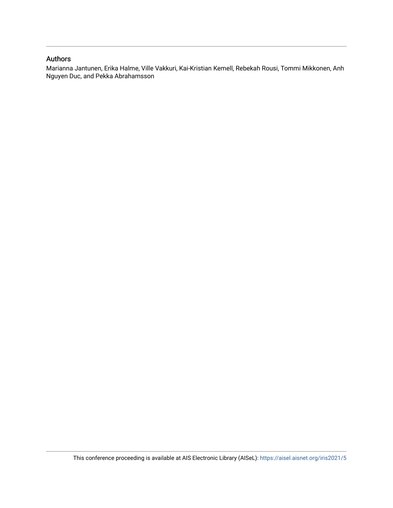#### Authors

Marianna Jantunen, Erika Halme, Ville Vakkuri, Kai-Kristian Kemell, Rebekah Rousi, Tommi Mikkonen, Anh Nguyen Duc, and Pekka Abrahamsson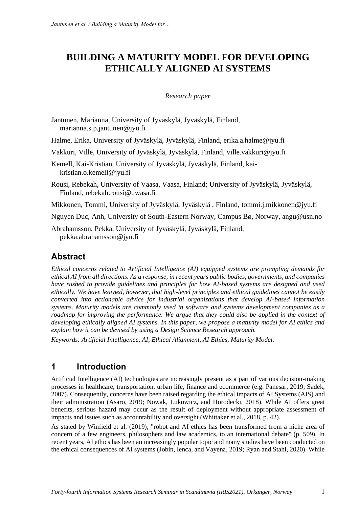# **BUILDING A MATURITY MODEL FOR DEVELOPING ETHICALLY ALIGNED AI SYSTEMS**

#### *Research paper*

- Jantunen, Marianna, University of Jyväskylä, Jyväskylä, Finland, marianna.s.p.jantunen@jyu.fi
- Halme, Erika, University of Jyväskylä, Jyväskylä, Finland, erika.a.halme@jyu.fi
- Vakkuri, Ville, University of Jyväskylä, Jyväskylä, Finland, ville.vakkuri@jyu.fi
- Kemell, Kai-Kristian, University of Jyväskylä, Jyväskylä, Finland, kaikristian.o.kemell@jyu.fi
- Rousi, Rebekah, University of Vaasa, Vaasa, Finland; University of Jyväskylä, Jyväskylä, Finland, rebekah.rousi@uwasa.fi
- Mikkonen, Tommi, University of Jyväskylä, Jyväskylä , Finland, tommi.j.mikkonen@jyu.fi
- Nguyen Duc, Anh, University of South-Eastern Norway, Campus Bø, Norway, angu@usn.no

Abrahamsson, Pekka, University of Jyväskylä, Jyväskylä, Finland, pekka.abrahamsson@jyu.fi

# **Abstract**

*Ethical concerns related to Artificial Intelligence (AI) equipped systems are prompting demands for ethical AI from all directions. As a response, in recent years public bodies, governments, and companies have rushed to provide guidelines and principles for how AI-based systems are designed and used ethically. We have learned, however, that high-level principles and ethical guidelines cannot be easily converted into actionable advice for industrial organizations that develop AI-based information systems. Maturity models are commonly used in software and systems development companies as a roadmap for improving the performance. We argue that they could also be applied in the context of developing ethically aligned AI systems. In this paper, we propose a maturity model for AI ethics and explain how it can be devised by using a Design Science Research approach.*

*Keywords: Artificial Intelligence, AI, Ethical Alignment, AI Ethics, Maturity Model.*

## **1 Introduction**

Artificial Intelligence (AI) technologies are increasingly present as a part of various decision-making processes in healthcare, transportation, urban life, finance and ecommerce (e.g. Panesar, 2019; Sadek, 2007). Consequently, concerns have been raised regarding the ethical impacts of AI Systems (AIS) and their administration (Asaro, 2019; Nowak, Lukowicz, and Horodecki, 2018). While AI offers great benefits, serious hazard may occur as the result of deployment without appropriate assessment of impacts and issues such as accountability and oversight (Whittaker et al., 2018, p. 42).

As stated by Winfield et al. (2019), "robot and AI ethics has been transformed from a niche area of concern of a few engineers, philosophers and law academics, to an international debate" (p. 509). In recent years, AI ethics has been an increasingly popular topic and many studies have been conducted on the ethical consequences of AI systems (Jobin, Ienca, and Vayena, 2019; Ryan and Stahl, 2020). While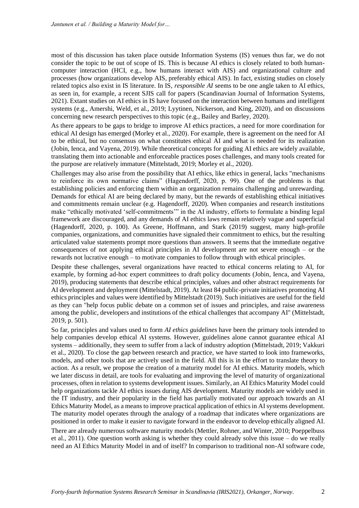most of this discussion has taken place outside Information Systems (IS) venues thus far, we do not consider the topic to be out of scope of IS. This is because AI ethics is closely related to both humancomputer interaction (HCI, e.g., how humans interact with AIS) and organizational culture and processes (how organizations develop AIS, preferably ethical AIS). In fact, existing studies on closely related topics also exist in IS literature. In IS, *responsible AI* seems to be one angle taken to AI ethics, as seen in, for example, a recent SJIS call for papers (Scandinavian Journal of Information Systems, 2021). Extant studies on AI ethics in IS have focused on the interaction between humans and intelligent systems (e.g., Amershi, Weld, et al., 2019; Lyytinen, Nickerson, and King, 2020), and on discussions concerning new research perspectives to this topic (e.g., Bailey and Barley, 2020).

As there appears to be gaps to bridge to improve AI ethics practices, a need for more coordination for ethical AI design has emerged (Morley et al., 2020). For example, there is agreement on the need for AI to be ethical, but no consensus on what constitutes ethical AI and what is needed for its realization (Jobin, Ienca, and Vayena, 2019). While theoretical concepts for guiding AI ethics are widely available, translating them into actionable and enforceable practices poses challenges, and many tools created for the purpose are relatively immature (Mittelstadt, 2019; Morley et al., 2020).

Challenges may also arise from the possibility that AI ethics, like ethics in general, lacks "mechanisms to reinforce its own normative claims" (Hagendorff, 2020, p. 99). One of the problems is that establishing policies and enforcing them within an organization remains challenging and unrewarding. Demands for ethical AI are being declared by many, but the rewards of establishing ethical initiatives and commitments remain unclear (e.g. Hagendorff, 2020). When companies and research institutions make "ethically motivated 'self-commitments'" in the AI industry, efforts to formulate a binding legal framework are discouraged, and any demands of AI ethics laws remain relatively vague and superficial (Hagendorff, 2020, p. 100). As Greene, Hoffmann, and Stark (2019) suggest, many high-profile companies, organizations, and communities have signaled their commitment to ethics, but the resulting articulated value statements prompt more questions than answers. It seems that the immediate negative consequences of not applying ethical principles in AI development are not severe enough – or the rewards not lucrative enough – to motivate companies to follow through with ethical principles.

Despite these challenges, several organizations have reacted to ethical concerns relating to AI, for example, by forming ad-hoc expert committees to draft policy documents (Jobin, Ienca, and Vayena, 2019), producing statements that describe ethical principles, values and other abstract requirements for AI development and deployment (Mittelstadt, 2019). At least 84 public-private initiatives promoting AI ethics principles and values were identified by Mittelstadt (2019). Such initiatives are useful for the field as they can "help focus public debate on a common set of issues and principles, and raise awareness among the public, developers and institutions of the ethical challenges that accompany AI" (Mittelstadt, 2019, p. 501).

So far, principles and values used to form *AI ethics guidelines* have been the primary tools intended to help companies develop ethical AI systems. However, guidelines alone cannot guarantee ethical AI systems – additionally, they seem to suffer from a lack of industry adoption (Mittelstadt, 2019; Vakkuri et al., 2020). To close the gap between research and practice, we have started to look into frameworks, models, and other tools that are actively used in the field. All this is in the effort to translate theory to action. As a result, we propose the creation of a maturity model for AI ethics. Maturity models, which we later discuss in detail, are tools for evaluating and improving the level of maturity of organizational processes, often in relation to systems development issues. Similarly, an AI Ethics Maturity Model could help organizations tackle AI ethics issues during AIS development. Maturity models are widely used in the IT industry, and their popularity in the field has partially motivated our approach towards an AI Ethics Maturity Model, as a means to improve practical application of ethics in AI systems development. The maturity model operates through the analogy of a roadmap that indicates where organizations are positioned in order to make it easier to navigate forward in the endeavor to develop ethically aligned AI.

There are already numerous software maturity models (Mettler, Rohner, and Winter, 2010; Poeppelbuss et al., 2011). One question worth asking is whether they could already solve this issue – do we really need an AI Ethics Maturity Model in and of itself? In comparison to traditional non-AI software code,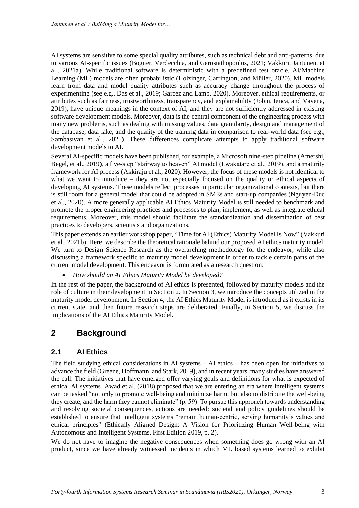AI systems are sensitive to some special quality attributes, such as technical debt and anti-patterns, due to various AI-specific issues (Bogner, Verdecchia, and Gerostathopoulos, 2021; Vakkuri, Jantunen, et al., 2021a). While traditional software is deterministic with a predefined test oracle, AI/Machine Learning (ML) models are often probabilistic (Holzinger, Carrington, and Müller, 2020). ML models learn from data and model quality attributes such as accuracy change throughout the process of experimenting (see e.g., Das et al., 2019; Garcez and Lamb, 2020). Moreover, ethical requirements, or attributes such as fairness, trustworthiness, transparency, and explainability (Jobin, Ienca, and Vayena, 2019), have unique meanings in the context of AI, and they are not sufficiently addressed in existing software development models. Moreover, data is the central component of the engineering process with many new problems, such as dealing with missing values, data granularity, design and management of the database, data lake, and the quality of the training data in comparison to real-world data (see e.g., Sambasivan et al., 2021). These differences complicate attempts to apply traditional software development models to AI.

Several AI-specific models have been published, for example, a Microsoft nine-step pipeline (Amershi, Begel, et al., 2019), a five-step "stairway to heaven" AI model (Lwakatare et al., 2019), and a maturity framework for AI process (Akkiraju et al., 2020). However, the focus of these models is not identical to what we want to introduce – they are not especially focused on the quality or ethical aspects of developing AI systems. These models reflect processes in particular organizational contexts, but there is still room for a general model that could be adopted in SMEs and start-up companies (Nguyen-Duc et al., 2020). A more generally applicable AI Ethics Maturity Model is still needed to benchmark and promote the proper engineering practices and processes to plan, implement, as well as integrate ethical requirements. Moreover, this model should facilitate the standardization and dissemination of best practices to developers, scientists and organizations.

This paper extends an earlier workshop paper, "Time for AI (Ethics) Maturity Model Is Now" (Vakkuri et al., 2021b). Here, we describe the theoretical rationale behind our proposed AI ethics maturity model. We turn to Design Science Research as the overarching methodology for the endeavor, while also discussing a framework specific to maturity model development in order to tackle certain parts of the current model development. This endeavor is formulated as a research question:

• *How should an AI Ethics Maturity Model be developed?*

In the rest of the paper, the background of AI ethics is presented, followed by maturity models and the role of culture in their development in Section 2. In Section 3, we introduce the concepts utilized in the maturity model development. In Section 4, the AI Ethics Maturity Model is introduced as it exists in its current state, and then future research steps are deliberated. Finally, in Section 5, we discuss the implications of the AI Ethics Maturity Model.

# **2 Background**

## **2.1 AI Ethics**

The field studying ethical considerations in AI systems – AI ethics – has been open for initiatives to advance the field (Greene, Hoffmann, and Stark, 2019), and in recent years, many studies have answered the call. The initiatives that have emerged offer varying goals and definitions for what is expected of ethical AI systems. Awad et al. (2018) proposed that we are entering an era where intelligent systems can be tasked "not only to promote well-being and minimize harm, but also to distribute the well-being they create, and the harm they cannot eliminate" (p. 59). To pursue this approach towards understanding and resolving societal consequences, actions are needed: societal and policy guidelines should be established to ensure that intelligent systems "remain human-centric, serving humanity's values and ethical principles" (Ethically Aligned Design: A Vision for Prioritizing Human Well-being with Autonomous and Intelligent Systems, First Edition 2019, p. 2).

We do not have to imagine the negative consequences when something does go wrong with an AI product, since we have already witnessed incidents in which ML based systems learned to exhibit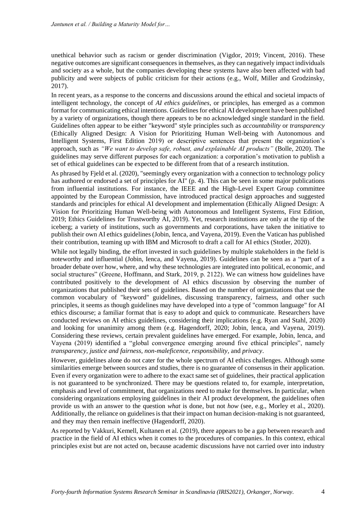unethical behavior such as racism or gender discrimination (Vigdor, 2019; Vincent, 2016). These negative outcomes are significant consequences in themselves, as they can negatively impact individuals and society as a whole, but the companies developing these systems have also been affected with bad publicity and were subjects of public criticism for their actions (e.g., Wolf, Miller and Grodzinsky, 2017).

In recent years, as a response to the concerns and discussions around the ethical and societal impacts of intelligent technology, the concept of *AI ethics guidelines*, or principles, has emerged as a common format for communicating ethical intentions. Guidelines for ethical AI development have been published by a variety of organizations, though there appears to be no acknowledged single standard in the field. Guidelines often appear to be either "keyword" style principles such as *accountability* or *transparency* (Ethically Aligned Design: A Vision for Prioritizing Human Well-being with Autonomous and Intelligent Systems, First Edition 2019) or descriptive sentences that present the organization's approach, such as *"We want to develop safe, robust, and explainable AI products"* (Bolle, 2020). The guidelines may serve different purposes for each organization: a corporation's motivation to publish a set of ethical guidelines can be expected to be different from that of a research institution.

As phrased by Fjeld et al. (2020), "seemingly every organization with a connection to technology policy has authored or endorsed a set of principles for AI" (p. 4). This can be seen in some major publications from influential institutions. For instance, the IEEE and the High-Level Expert Group committee appointed by the European Commission, have introduced practical design approaches and suggested standards and principles for ethical AI development and implementation (Ethically Aligned Design: A Vision for Prioritizing Human Well-being with Autonomous and Intelligent Systems, First Edition, 2019; Ethics Guidelines for Trustworthy AI, 2019). Yet, research institutions are only at the tip of the iceberg; a variety of institutions, such as governments and corporations, have taken the initiative to publish their own AI ethics guidelines (Jobin, Ienca, and Vayena, 2019). Even the Vatican has published their contribution, teaming up with IBM and Microsoft to draft a call for AI ethics (Stotler, 2020).

While not legally binding, the effort invested in such guidelines by multiple stakeholders in the field is noteworthy and influential (Jobin, Ienca, and Vayena, 2019). Guidelines can be seen as a "part of a broader debate over how, where, and why these technologies are integrated into political, economic, and social structures" (Greene, Hoffmann, and Stark, 2019, p. 2122). We can witness how guidelines have contributed positively to the development of AI ethics discussion by observing the number of organizations that published their sets of guidelines. Based on the number of organizations that use the common vocabulary of "keyword" guidelines, discussing transparency, fairness, and other such principles, it seems as though guidelines may have developed into a type of "common language" for AI ethics discourse; a familiar format that is easy to adopt and quick to communicate. Researchers have conducted reviews on AI ethics guidelines, considering their implications (e.g. Ryan and Stahl, 2020) and looking for unanimity among them (e.g. Hagendorff, 2020; Jobin, Ienca, and Vayena, 2019). Considering these reviews, certain prevalent guidelines have emerged. For example, Jobin, Ienca, and Vayena (2019) identified a "global convergence emerging around five ethical principles", namely *transparency, justice and fairness, non-maleficence, responsibility,* and *privacy*.

However, guidelines alone do not cater for the whole spectrum of AI ethics challenges. Although some similarities emerge between sources and studies, there is no guarantee of consensus in their application. Even if every organization were to adhere to the exact same set of guidelines, their practical application is not guaranteed to be synchronized. There may be questions related to, for example, interpretation, emphasis and level of commitment, that organizations need to make for themselves. In particular, when considering organizations employing guidelines in their AI product development, the guidelines often provide us with an answer to the question *what* is done, but not *how* (see, e.g., Morley et al., 2020). Additionally, the reliance on guidelines is that their impact on human decision-making is not guaranteed, and they may then remain ineffective (Hagendorff, 2020).

As reported by Vakkuri, Kemell, Kultanen et al. (2019), there appears to be a gap between research and practice in the field of AI ethics when it comes to the procedures of companies. In this context, ethical principles exist but are not acted on, because academic discussions have not carried over into industry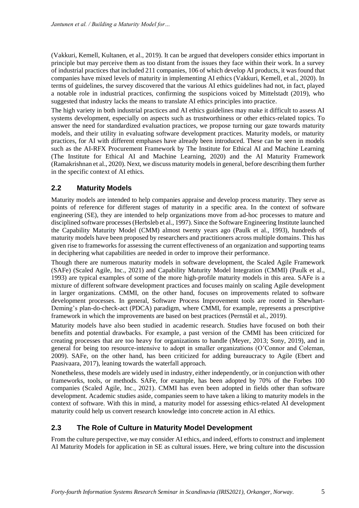(Vakkuri, Kemell, Kultanen, et al., 2019). It can be argued that developers consider ethics important in principle but may perceive them as too distant from the issues they face within their work. In a survey of industrial practices that included 211 companies, 106 of which develop AI products, it was found that companies have mixed levels of maturity in implementing AI ethics (Vakkuri, Kemell, et al., 2020). In terms of guidelines, the survey discovered that the various AI ethics guidelines had not, in fact, played a notable role in industrial practices, confirming the suspicions voiced by Mittelstadt (2019), who suggested that industry lacks the means to translate AI ethics principles into practice.

The high variety in both industrial practices and AI ethics guidelines may make it difficult to assess AI systems development, especially on aspects such as trustworthiness or other ethics-related topics. To answer the need for standardized evaluation practices, we propose turning our gaze towards maturity models, and their utility in evaluating software development practices. Maturity models, or maturity practices, for AI with different emphases have already been introduced. These can be seen in models such as the AI-RFX Procurement Framework by The Institute for Ethical AI and Machine Learning (The Institute for Ethical AI and Machine Learning, 2020) and the AI Maturity Framework (Ramakrishnan et al., 2020). Next, we discuss maturity models in general, before describing them further in the specific context of AI ethics.

## **2.2 Maturity Models**

Maturity models are intended to help companies appraise and develop process maturity. They serve as points of reference for different stages of maturity in a specific area. In the context of software engineering (SE), they are intended to help organizations move from ad-hoc processes to mature and disciplined software processes (Herbsleb et al., 1997). Since the Software Engineering Institute launched the Capability Maturity Model (CMM) almost twenty years ago (Paulk et al., 1993), hundreds of maturity models have been proposed by researchers and practitioners across multiple domains. This has given rise to frameworks for assessing the current effectiveness of an organization and supporting teams in deciphering what capabilities are needed in order to improve their performance.

Though there are numerous maturity models in software development, the Scaled Agile Framework (SAFe) (Scaled Agile, Inc., 2021) and Capability Maturity Model Integration (CMMI) (Paulk et al., 1993) are typical examples of some of the more high-profile maturity models in this area. SAFe is a mixture of different software development practices and focuses mainly on scaling Agile development in larger organizations. CMMI, on the other hand, focuses on improvements related to software development processes. In general, Software Process Improvement tools are rooted in Shewhart-Deming's plan-do-check-act (PDCA) paradigm, where CMMI, for example, represents a prescriptive framework in which the improvements are based on best practices (Pernstål et al., 2019).

Maturity models have also been studied in academic research. Studies have focused on both their benefits and potential drawbacks. For example, a past version of the CMMI has been criticized for creating processes that are too heavy for organizations to handle (Meyer, 2013; Sony, 2019), and in general for being too resource-intensive to adopt in smaller organizations (O'Connor and Coleman, 2009). SAFe, on the other hand, has been criticized for adding bureaucracy to Agile (Ebert and Paasivaara, 2017), leaning towards the waterfall approach.

Nonetheless, these models are widely used in industry, either independently, or in conjunction with other frameworks, tools, or methods. SAFe, for example, has been adopted by 70% of the Forbes 100 companies (Scaled Agile, Inc., 2021). CMMI has even been adopted in fields other than software development. Academic studies aside, companies seem to have taken a liking to maturity models in the context of software. With this in mind, a maturity model for assessing ethics-related AI development maturity could help us convert research knowledge into concrete action in AI ethics.

#### **2.3 The Role of Culture in Maturity Model Development**

From the culture perspective, we may consider AI ethics, and indeed, efforts to construct and implement AI Maturity Models for application in SE as cultural issues. Here, we bring culture into the discussion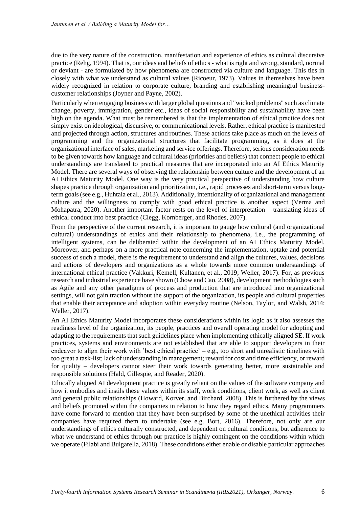due to the very nature of the construction, manifestation and experience of ethics as cultural discursive practice (Rehg, 1994). That is, our ideas and beliefs of ethics - what is right and wrong, standard, normal or deviant - are formulated by how phenomena are constructed via culture and language. This ties in closely with what we understand as cultural values (Ricoeur, 1973). Values in themselves have been widely recognized in relation to corporate culture, branding and establishing meaningful businesscustomer relationships (Joyner and Payne, 2002).

Particularly when engaging business with larger global questions and "wicked problems" such as climate change, poverty, immigration, gender etc., ideas of social responsibility and sustainability have been high on the agenda. What must be remembered is that the implementation of ethical practice does not simply exist on ideological, discursive, or communicational levels. Rather, ethical practice is manifested and projected through action, structures and routines. These actions take place as much on the levels of programming and the organizational structures that facilitate programming, as it does at the organizational interface of sales, marketing and service offerings. Therefore, serious consideration needs to be given towards how language and cultural ideas (priorities and beliefs) that connect people to ethical understandings are translated to practical measures that are incorporated into an AI Ethics Maturity Model. There are several ways of observing the relationship between culture and the development of an AI Ethics Maturity Model. One way is the very practical perspective of understanding how culture shapes practice through organization and prioritization, i.e., rapid processes and short-term versus longterm goals (see e.g., Huhtala et al., 2013). Additionally, intentionality of organizational and management culture and the willingness to comply with good ethical practice is another aspect (Verma and Mohapatra, 2020). Another important factor rests on the level of interpretation – translating ideas of ethical conduct into best practice (Clegg, Kornberger, and Rhodes, 2007).

From the perspective of the current research, it is important to gauge how cultural (and organizational cultural) understandings of ethics and their relationship to phenomena, i.e., the programming of intelligent systems, can be deliberated within the development of an AI Ethics Maturity Model. Moreover, and perhaps on a more practical note concerning the implementation, uptake and potential success of such a model, there is the requirement to understand and align the cultures, values, decisions and actions of developers and organizations as a whole towards more common understandings of international ethical practice (Vakkuri, Kemell, Kultanen, et al., 2019; Weller, 2017). For, as previous research and industrial experience have shown (Chow and Cao, 2008), development methodologies such as Agile and any other paradigms of process and production that are introduced into organizational settings, will not gain traction without the support of the organization, its people and cultural properties that enable their acceptance and adoption within everyday routine (Nelson, Taylor, and Walsh, 2014; Weller, 2017).

An AI Ethics Maturity Model incorporates these considerations within its logic as it also assesses the readiness level of the organization, its people, practices and overall operating model for adopting and adapting to the requirements that such guidelines place when implementing ethically aligned SE. If work practices, systems and environments are not established that are able to support developers in their endeavor to align their work with 'best ethical practice' – e.g., too short and unrealistic timelines with too great a task-list; lack of understanding in management; reward for cost and time efficiency, or reward for quality – developers cannot steer their work towards generating better, more sustainable and responsible solutions (Hald, Gillespie, and Reader, 2020).

Ethically aligned AI development practice is greatly reliant on the values of the software company and how it embodies and instils these values within its staff, work conditions, client work, as well as client and general public relationships (Howard, Korver, and Birchard, 2008). This is furthered by the views and beliefs promoted within the companies in relation to how they regard ethics. Many programmers have come forward to mention that they have been surprised by some of the unethical activities their companies have required them to undertake (see e.g. Bort, 2016). Therefore, not only are our understandings of ethics culturally constructed, and dependent on cultural conditions, but adherence to what we understand of ethics through our practice is highly contingent on the conditions within which we operate (Filabi and Bulgarella, 2018). These conditions either enable or disable particular approaches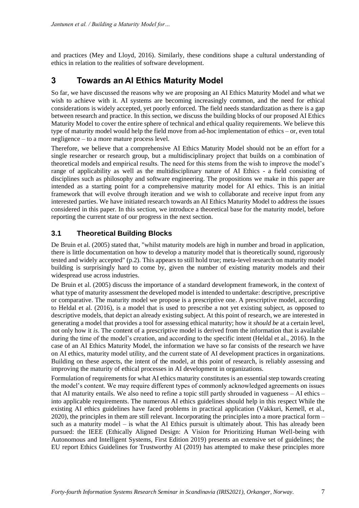and practices (Mey and Lloyd, 2016). Similarly, these conditions shape a cultural understanding of ethics in relation to the realities of software development.

# **3 Towards an AI Ethics Maturity Model**

So far, we have discussed the reasons why we are proposing an AI Ethics Maturity Model and what we wish to achieve with it. AI systems are becoming increasingly common, and the need for ethical considerations is widely accepted, yet poorly enforced. The field needs standardization as there is a gap between research and practice. In this section, we discuss the building blocks of our proposed AI Ethics Maturity Model to cover the entire sphere of technical and ethical quality requirements. We believe this type of maturity model would help the field move from ad-hoc implementation of ethics – or, even total negligence – to a more mature process level.

Therefore, we believe that a comprehensive AI Ethics Maturity Model should not be an effort for a single researcher or research group, but a multidisciplinary project that builds on a combination of theoretical models and empirical results. The need for this stems from the wish to improve the model's range of applicability as well as the multidisciplinary nature of AI Ethics - a field consisting of disciplines such as philosophy and software engineering. The propositions we make in this paper are intended as a starting point for a comprehensive maturity model for AI ethics. This is an initial framework that will evolve through iteration and we wish to collaborate and receive input from any interested parties. We have initiated research towards an AI Ethics Maturity Model to address the issues considered in this paper. In this section, we introduce a theoretical base for the maturity model, before reporting the current state of our progress in the next section.

## **3.1 Theoretical Building Blocks**

De Bruin et al. (2005) stated that, "whilst maturity models are high in number and broad in application, there is little documentation on how to develop a maturity model that is theoretically sound, rigorously tested and widely accepted" (p.2). This appears to still hold true; meta-level research on maturity model building is surprisingly hard to come by, given the number of existing maturity models and their widespread use across industries.

De Bruin et al. (2005) discuss the importance of a standard development framework, in the context of what type of maturity assessment the developed model is intended to undertake: descriptive, prescriptive or comparative. The maturity model we propose is a prescriptive one. A prescriptive model, according to Heldal et al. (2016), is a model that is used to prescribe a not yet existing subject, as opposed to descriptive models, that depict an already existing subject. At this point of research, we are interested in generating a model that provides a tool for assessing ethical maturity; how it *should be* at a certain level, not only how it *is*. The content of a prescriptive model is derived from the information that is available during the time of the model's creation, and according to the specific intent (Heldal et al., 2016). In the case of an AI Ethics Maturity Model, the information we have so far consists of the research we have on AI ethics, maturity model utility, and the current state of AI development practices in organizations. Building on these aspects, the intent of the model, at this point of research, is reliably assessing and improving the maturity of ethical processes in AI development in organizations.

Formulation of requirements for what AI ethics maturity constitutes is an essential step towards creating the model's content. We may require different types of commonly acknowledged agreements on issues that AI maturity entails. We also need to refine a topic still partly shrouded in vagueness – AI ethics – into applicable requirements. The numerous AI ethics guidelines should help in this respect While the existing AI ethics guidelines have faced problems in practical application (Vakkuri, Kemell, et al., 2020), the principles in them are still relevant. Incorporating the principles into a more practical form – such as a maturity model – is what the AI Ethics pursuit is ultimately about. This has already been pursued: the IEEE (Ethically Aligned Design: A Vision for Prioritizing Human Well-being with Autonomous and Intelligent Systems, First Edition 2019) presents an extensive set of guidelines; the EU report Ethics Guidelines for Trustworthy AI (2019) has attempted to make these principles more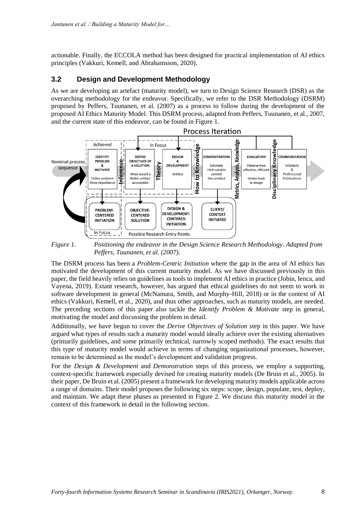actionable. Finally, the ECCOLA method has been designed for practical implementation of AI ethics principles (Vakkuri, Kemell, and Abrahamsson, 2020).

### **3.2 Design and Development Methodology**

As we are developing an artefact (maturity model), we turn to Design Science Research (DSR) as the overarching methodology for the endeavor. Specifically, we refer to the DSR Methodology (DSRM) proposed by Peffers, Tuunanen, et al. (2007) as a process to follow during the development of the proposed AI Ethics Maturity Model. This DSRM process, adapted from Peffers, Tuunanen, et al., 2007, and the current state of this endeavor, can be found in Figure 1.



*Figure 1. Positioning the endeavor in the Design Science Research Methodology. Adapted from Peffers, Tuunanen, et al. (2007).*

The DSRM process has been a *Problem-Centric Initiation* where the gap in the area of AI ethics has motivated the development of this current maturity model. As we have discussed previously in this paper, the field heavily relies on guidelines as tools to implement AI ethics in practice (Jobin, Ienca, and Vayena, 2019). Extant research, however, has argued that ethical guidelines do not seem to work in software development in general (McNamara, Smith, and Murphy-Hill, 2018) or in the context of AI ethics (Vakkuri, Kemell, et al., 2020), and thus other approaches, such as maturity models, are needed. The preceding sections of this paper also tackle the *Identify Problem & Motivate* step in general, motivating the model and discussing the problem in detail.

Additionally, we have begun to cover the *Derive Objectives of Solution* step in this paper. We have argued what types of results such a maturity model would ideally achieve over the existing alternatives (primarily guidelines, and some primarily technical, narrowly scoped methods). The exact results that this type of maturity model would achieve in terms of changing organizational processes, however, remain to be determined as the model's development and validation progress.

For the *Design & Development* and *Demonstration* steps of this process, we employ a supporting, context-specific framework especially devised for creating maturity models (De Bruin et al., 2005). In their paper, De Bruin et al. (2005) present a framework for developing maturity models applicable across a range of domains. Their model proposes the following six steps: scope, design, populate, test, deploy, and maintain. We adapt these phases as presented in Figure 2. We discuss this maturity model in the context of this framework in detail in the following section.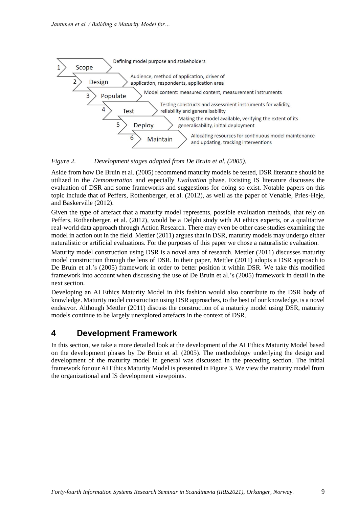

#### *Figure 2. Development stages adapted from De Bruin et al. (2005).*

Aside from how De Bruin et al. (2005) recommend maturity models be tested, DSR literature should be utilized in the *Demonstration* and especially *Evaluation* phase. Existing IS literature discusses the evaluation of DSR and some frameworks and suggestions for doing so exist. Notable papers on this topic include that of Peffers, Rothenberger, et al. (2012), as well as the paper of Venable, Pries-Heje, and Baskerville (2012).

Given the type of artefact that a maturity model represents, possible evaluation methods, that rely on Peffers, Rothenberger, et al. (2012), would be a Delphi study with AI ethics experts, or a qualitative real-world data approach through Action Research. There may even be other case studies examining the model in action out in the field. Mettler (2011) argues that in DSR, maturity models may undergo either naturalistic or artificial evaluations. For the purposes of this paper we chose a naturalistic evaluation.

Maturity model construction using DSR is a novel area of research. Mettler (2011) discusses maturity model construction through the lens of DSR. In their paper, Mettler (2011) adopts a DSR approach to De Bruin et al.'s (2005) framework in order to better position it within DSR. We take this modified framework into account when discussing the use of De Bruin et al.'s (2005) framework in detail in the next section.

Developing an AI Ethics Maturity Model in this fashion would also contribute to the DSR body of knowledge. Maturity model construction using DSR approaches, to the best of our knowledge, is a novel endeavor. Although Mettler (2011) discuss the construction of a maturity model using DSR, maturity models continue to be largely unexplored artefacts in the context of DSR.

## **4 Development Framework**

In this section, we take a more detailed look at the development of the AI Ethics Maturity Model based on the development phases by De Bruin et al. (2005). The methodology underlying the design and development of the maturity model in general was discussed in the preceding section. The initial framework for our AI Ethics Maturity Model is presented in Figure 3. We view the maturity model from the organizational and IS development viewpoints.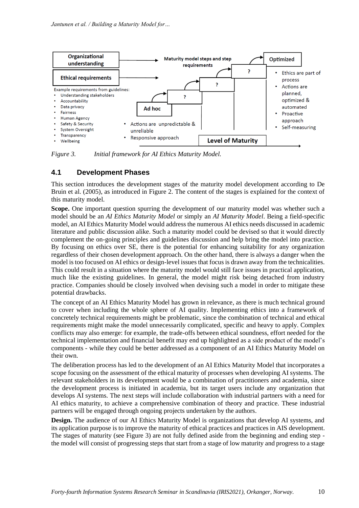

*Figure 3. Initial framework for AI Ethics Maturity Model.*

## **4.1 Development Phases**

This section introduces the development stages of the maturity model development according to De Bruin et al. (2005), as introduced in Figure 2. The content of the stages is explained for the context of this maturity model.

**Scope.** One important question spurring the development of our maturity model was whether such a model should be an *AI Ethics Maturity Model* or simply an *AI Maturity Model*. Being a field-specific model, an AI Ethics Maturity Model would address the numerous AI ethics needs discussed in academic literature and public discussion alike. Such a maturity model could be devised so that it would directly complement the on-going principles and guidelines discussion and help bring the model into practice. By focusing on ethics over SE, there is the potential for enhancing suitability for any organization regardless of their chosen development approach. On the other hand, there is always a danger when the model is too focused on AI ethics or design-level issues that focus is drawn away from the technicalities. This could result in a situation where the maturity model would still face issues in practical application, much like the existing guidelines. In general, the model might risk being detached from industry practice. Companies should be closely involved when devising such a model in order to mitigate these potential drawbacks.

The concept of an AI Ethics Maturity Model has grown in relevance, as there is much technical ground to cover when including the whole sphere of AI quality. Implementing ethics into a framework of concretely technical requirements might be problematic, since the combination of technical and ethical requirements might make the model unnecessarily complicated, specific and heavy to apply. Complex conflicts may also emerge: for example, the trade-offs between ethical soundness, effort needed for the technical implementation and financial benefit may end up highlighted as a side product of the model's components - while they could be better addressed as a component of an AI Ethics Maturity Model on their own.

The deliberation process has led to the development of an AI Ethics Maturity Model that incorporates a scope focusing on the assessment of the ethical maturity of processes when developing AI systems. The relevant stakeholders in its development would be a combination of practitioners and academia, since the development process is initiated in academia, but its target users include any organization that develops AI systems. The next steps will include collaboration with industrial partners with a need for AI ethics maturity, to achieve a comprehensive combination of theory and practice. These industrial partners will be engaged through ongoing projects undertaken by the authors.

**Design.** The audience of our AI Ethics Maturity Model is organizations that develop AI systems, and its application purpose is to improve the maturity of ethical practices and practices in AIS development. The stages of maturity (see Figure 3) are not fully defined aside from the beginning and ending step the model will consist of progressing steps that start from a stage of low maturity and progress to a stage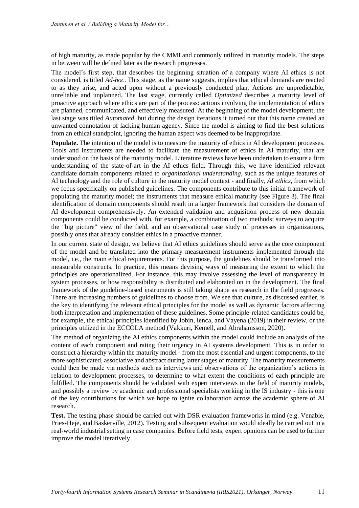of high maturity, as made popular by the CMMI and commonly utilized in maturity models. The steps in between will be defined later as the research progresses.

The model's first step, that describes the beginning situation of a company where AI ethics is not considered, is titled *Ad-hoc*. This stage, as the name suggests, implies that ethical demands are reacted to as they arise, and acted upon without a previously conducted plan. Actions are unpredictable, unreliable and unplanned. The last stage, currently called *Optimized* describes a maturity level of proactive approach where ethics are part of the process: actions involving the implementation of ethics are planned, communicated, and effectively measured. At the beginning of the model development, the last stage was titled *Automated*, but during the design iterations it turned out that this name created an unwanted connotation of lacking human agency. Since the model is aiming to find the best solutions from an ethical standpoint, ignoring the human aspect was deemed to be inappropriate.

**Populate.** The intention of the model is to measure the maturity of ethics in AI development processes. Tools and instruments are needed to facilitate the measurement of ethics in AI maturity, that are understood on the basis of the maturity model. Literature reviews have been undertaken to ensure a firm understanding of the state-of-art in the AI ethics field. Through this, we have identified relevant candidate domain components related to *organizational understanding*, such as the unique features of AI technology and the role of culture in the maturity model context - and finally, *AI ethics*, from which we focus specifically on published guidelines. The components contribute to this initial framework of populating the maturity model; the instruments that measure ethical maturity (see Figure 3). The final identification of domain components should result in a larger framework that considers the domain of AI development comprehensively. An extended validation and acquisition process of new domain components could be conducted with, for example, a combination of two methods: surveys to acquire the "big picture" view of the field, and an observational case study of processes in organizations, possibly ones that already consider ethics in a proactive manner.

In our current state of design, we believe that AI ethics guidelines should serve as the core component of the model and be translated into the primary measurement instruments implemented through the model, i.e., the main ethical requirements. For this purpose, the guidelines should be transformed into measurable constructs. In practice, this means devising ways of measuring the extent to which the principles are operationalized. For instance, this may involve assessing the level of transparency in system processes, or how responsibility is distributed and elaborated on in the development. The final framework of the guideline-based instruments is still taking shape as research in the field progresses. There are increasing numbers of guidelines to choose from. We see that culture, as discussed earlier, is the key to identifying the relevant ethical principles for the model as well as dynamic factors affecting both interpretation and implementation of these guidelines. Some principle-related candidates could be, for example, the ethical principles identified by Jobin, Ienca, and Vayena (2019) in their review, or the principles utilized in the ECCOLA method (Vakkuri, Kemell, and Abrahamsson, 2020).

The method of organizing the AI ethics components within the model could include an analysis of the content of each component and rating their urgency in AI systems development. This is in order to construct a hierarchy within the maturity model - from the most essential and urgent components, to the more sophisticated, associative and abstract during latter stages of maturity. The maturity measurements could then be made via methods such as interviews and observations of the organization's actions in relation to development processes, to determine to what extent the conditions of each principle are fulfilled. The components should be validated with expert interviews in the field of maturity models, and possibly a review by academic and professional specialists working in the IS industry - this is one of the key contributions for which we hope to ignite collaboration across the academic sphere of AI research.

**Test.** The testing phase should be carried out with DSR evaluation frameworks in mind (e.g. Venable, Pries-Heje, and Baskerville, 2012). Testing and subsequent evaluation would ideally be carried out in a real-world industrial setting in case companies. Before field tests, expert opinions can be used to further improve the model iteratively.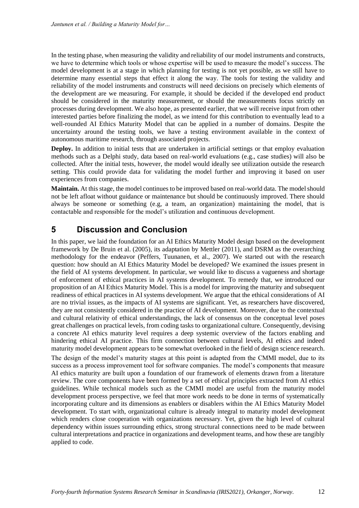In the testing phase, when measuring the validity and reliability of our model instruments and constructs, we have to determine which tools or whose expertise will be used to measure the model's success. The model development is at a stage in which planning for testing is not yet possible, as we still have to determine many essential steps that effect it along the way. The tools for testing the validity and reliability of the model instruments and constructs will need decisions on precisely which elements of the development are we measuring. For example, it should be decided if the developed end product should be considered in the maturity measurement, or should the measurements focus strictly on processes during development. We also hope, as presented earlier, that we will receive input from other interested parties before finalizing the model, as we intend for this contribution to eventually lead to a well-rounded AI Ethics Maturity Model that can be applied in a number of domains. Despite the uncertainty around the testing tools, we have a testing environment available in the context of autonomous maritime research, through associated projects.

**Deploy.** In addition to initial tests that are undertaken in artificial settings or that employ evaluation methods such as a Delphi study, data based on real-world evaluations (e.g., case studies) will also be collected. After the initial tests, however, the model would ideally see utilization outside the research setting. This could provide data for validating the model further and improving it based on user experiences from companies.

**Maintain.** At this stage, the model continues to be improved based on real-world data. The model should not be left afloat without guidance or maintenance but should be continuously improved. There should always be someone or something (e.g, a team, an organization) maintaining the model, that is contactable and responsible for the model's utilization and continuous development.

# **5 Discussion and Conclusion**

In this paper, we laid the foundation for an AI Ethics Maturity Model design based on the development framework by De Bruin et al. (2005), its adaptation by Mettler (2011), and DSRM as the overarching methodology for the endeavor (Peffers, Tuunanen, et al., 2007). We started out with the research question: how should an AI Ethics Maturity Model be developed? We examined the issues present in the field of AI systems development. In particular, we would like to discuss a vagueness and shortage of enforcement of ethical practices in AI systems development. To remedy that, we introduced our proposition of an AI Ethics Maturity Model. This is a model for improving the maturity and subsequent readiness of ethical practices in AI systems development. We argue that the ethical considerations of AI are no trivial issues, as the impacts of AI systems are significant. Yet, as researchers have discovered, they are not consistently considered in the practice of AI development. Moreover, due to the contextual and cultural relativity of ethical understandings, the lack of consensus on the conceptual level poses great challenges on practical levels, from coding tasks to organizational culture. Consequently, devising a concrete AI ethics maturity level requires a deep systemic overview of the factors enabling and hindering ethical AI practice. This firm connection between cultural levels, AI ethics and indeed maturity model development appears to be somewhat overlooked in the field of design science research. The design of the model's maturity stages at this point is adapted from the CMMI model, due to its success as a process improvement tool for software companies. The model's components that measure AI ethics maturity are built upon a foundation of our framework of elements drawn from a literature review. The core components have been formed by a set of ethical principles extracted from AI ethics guidelines. While technical models such as the CMMI model are useful from the maturity model development process perspective, we feel that more work needs to be done in terms of systematically

incorporating culture and its dimensions as enablers or disablers within the AI Ethics Maturity Model development. To start with, organizational culture is already integral to maturity model development which renders close cooperation with organizations necessary. Yet, given the high level of cultural dependency within issues surrounding ethics, strong structural connections need to be made between cultural interpretations and practice in organizations and development teams, and how these are tangibly applied to code.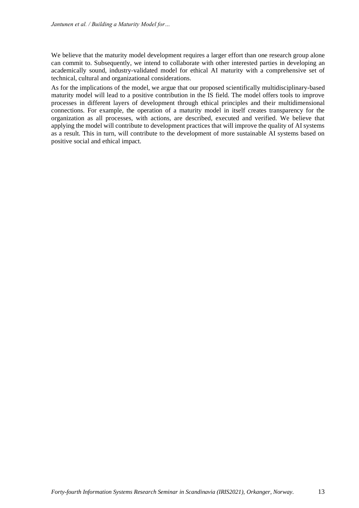We believe that the maturity model development requires a larger effort than one research group alone can commit to. Subsequently, we intend to collaborate with other interested parties in developing an academically sound, industry-validated model for ethical AI maturity with a comprehensive set of technical, cultural and organizational considerations.

As for the implications of the model, we argue that our proposed scientifically multidisciplinary-based maturity model will lead to a positive contribution in the IS field. The model offers tools to improve processes in different layers of development through ethical principles and their multidimensional connections. For example, the operation of a maturity model in itself creates transparency for the organization as all processes, with actions, are described, executed and verified. We believe that applying the model will contribute to development practices that will improve the quality of AI systems as a result. This in turn, will contribute to the development of more sustainable AI systems based on positive social and ethical impact.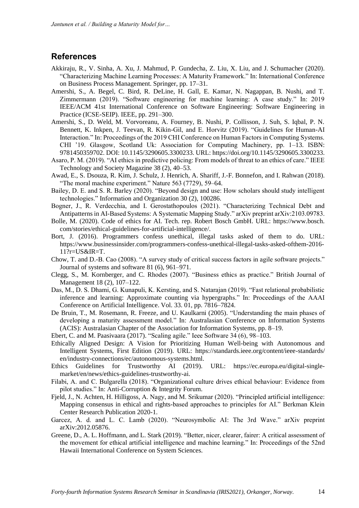### **References**

- Akkiraju, R., V. Sinha, A. Xu, J. Mahmud, P. Gundecha, Z. Liu, X. Liu, and J. Schumacher (2020). "Characterizing Machine Learning Processes: A Maturity Framework." In: International Conference on Business Process Management. Springer, pp. 17–31.
- Amershi, S., A. Begel, C. Bird, R. DeLine, H. Gall, E. Kamar, N. Nagappan, B. Nushi, and T. Zimmermann (2019). "Software engineering for machine learning: A case study." In: 2019 IEEE/ACM 41st International Conference on Software Engineering: Software Engineering in Practice (ICSE-SEIP). IEEE, pp. 291–300.
- Amershi, S., D. Weld, M. Vorvoreanu, A. Fourney, B. Nushi, P. Collisson, J. Suh, S. Iqbal, P. N. Bennett, K. Inkpen, J. Teevan, R. Kikin-Gil, and E. Horvitz (2019). "Guidelines for Human-AI Interaction." In: Proceedings of the 2019 CHI Conference on Human Factors in Computing Systems. CHI '19. Glasgow, Scotland Uk: Association for Computing Machinery, pp. 1–13. ISBN: 9781450359702. DOI: 10.1145/3290605.3300233. URL: https://doi.org/10.1145/3290605.3300233.
- Asaro, P. M. (2019). "AI ethics in predictive policing: From models of threat to an ethics of care." IEEE Technology and Society Magazine 38 (2), 40–53.
- Awad, E., S. Dsouza, R. Kim, J. Schulz, J. Henrich, A. Shariff, J.-F. Bonnefon, and I. Rahwan (2018). "The moral machine experiment." Nature 563 (7729), 59–64.
- Bailey, D. E. and S. R. Barley (2020). "Beyond design and use: How scholars should study intelligent technologies." Information and Organization 30 (2), 100286.
- Bogner, J., R. Verdecchia, and I. Gerostathopoulos (2021). "Characterizing Technical Debt and Antipatterns in AI-Based Systems: A Systematic Mapping Study." arXiv preprint arXiv:2103.09783.
- Bolle, M. (2020). Code of ethics for AI. Tech. rep. Robert Bosch GmbH. URL: https://www.bosch. com/stories/ethical-guidelines-for-artificial-intelligence/.
- Bort, J. (2016). Programmers confess unethical, illegal tasks asked of them to do. URL: https://www.businessinsider.com/programmers-confess-unethical-illegal-tasks-asked-ofthem-2016- 11?r=US&IR=T.
- Chow, T. and D.-B. Cao (2008). "A survey study of critical success factors in agile software projects." Journal of systems and software 81 (6), 961–971.
- Clegg, S., M. Kornberger, and C. Rhodes (2007). "Business ethics as practice." British Journal of Management 18 (2), 107–122.
- Das, M., D. S. Dhami, G. Kunapuli, K. Kersting, and S. Natarajan (2019). "Fast relational probabilistic inference and learning: Approximate counting via hypergraphs." In: Proceedings of the AAAI Conference on Artificial Intelligence. Vol. 33. 01, pp. 7816–7824.
- De Bruin, T., M. Rosemann, R. Freeze, and U. Kaulkarni (2005). "Understanding the main phases of developing a maturity assessment model." In: Australasian Conference on Information Systems (ACIS): Australasian Chapter of the Association for Information Systems, pp. 8–19.
- Ebert, C. and M. Paasivaara (2017). "Scaling agile." Ieee Software 34 (6), 98–103.
- Ethically Aligned Design: A Vision for Prioritizing Human Well-being with Autonomous and Intelligent Systems, First Edition (2019). URL: https://standards.ieee.org/content/ieee-standards/ en/industry-connections/ec/autonomous-systems.html.<br>hics Guidelines for Trustworthy AI (2019).
- Ethics Guidelines for Trustworthy AI (2019). URL: https://ec.europa.eu/digital-singlemarket/en/news/ethics-guidelines-trustworthy-ai.
- Filabi, A. and C. Bulgarella (2018). "Organizational culture drives ethical behaviour: Evidence from pilot studies." In: Anti-Corruption & Integrity Forum.
- Fjeld, J., N. Achten, H. Hilligoss, A. Nagy, and M. Srikumar (2020). "Principled artificial intelligence: Mapping consensus in ethical and rights-based approaches to principles for AI." Berkman Klein Center Research Publication 2020-1.
- Garcez, A. d. and L. C. Lamb (2020). "Neurosymbolic AI: The 3rd Wave." arXiv preprint arXiv:2012.05876.
- Greene, D., A. L. Hoffmann, and L. Stark (2019). "Better, nicer, clearer, fairer: A critical assessment of the movement for ethical artificial intelligence and machine learning." In: Proceedings of the 52nd Hawaii International Conference on System Sciences.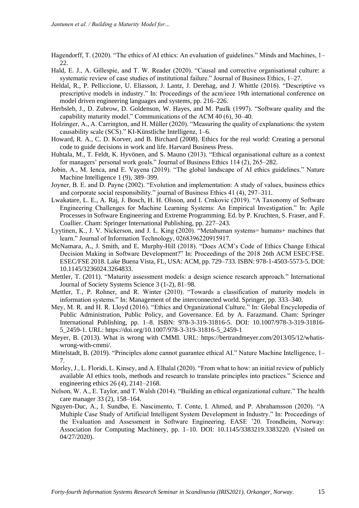Hagendorff, T. (2020). "The ethics of AI ethics: An evaluation of guidelines." Minds and Machines, 1– 22.

- Hald, E. J., A. Gillespie, and T. W. Reader (2020). "Causal and corrective organisational culture: a systematic review of case studies of institutional failure." Journal of Business Ethics, 1–27.
- Heldal, R., P. Pelliccione, U. Eliasson, J. Lantz, J. Derehag, and J. Whittle (2016). "Descriptive vs prescriptive models in industry." In: Proceedings of the acm/ieee 19th international conference on model driven engineering languages and systems, pp. 216–226.
- Herbsleb, J., D. Zubrow, D. Goldenson, W. Hayes, and M. Paulk (1997). "Software quality and the capability maturity model." Communications of the ACM 40 (6), 30–40.
- Holzinger, A., A. Carrington, and H. Müller (2020). "Measuring the quality of explanations: the system causability scale (SCS)." KI-Künstliche Intelligenz, 1–6.
- Howard, R. A., C. D. Korver, and B. Birchard (2008). Ethics for the real world: Creating a personal code to guide decisions in work and life. Harvard Business Press.
- Huhtala, M., T. Feldt, K. Hyvönen, and S. Mauno (2013). "Ethical organisational culture as a context for managers' personal work goals." Journal of Business Ethics 114 (2), 265–282.
- Jobin, A., M. Ienca, and E. Vayena (2019). "The global landscape of AI ethics guidelines." Nature Machine Intelligence 1 (9), 389–399.
- Joyner, B. E. and D. Payne (2002). "Evolution and implementation: A study of values, business ethics and corporate social responsibility." journal of Business Ethics 41 (4), 297–311.
- Lwakatare, L. E., A. Raj, J. Bosch, H. H. Olsson, and I. Crnkovic (2019). "A Taxonomy of Software Engineering Challenges for Machine Learning Systems: An Empirical Investigation." In: Agile Processes in Software Engineering and Extreme Programming. Ed. by P. Kruchten, S. Fraser, and F. Coallier. Cham: Springer International Publishing, pp. 227–243.
- Lyytinen, K., J. V. Nickerson, and J. L. King (2020). "Metahuman systems= humans+ machines that learn." Journal of Information Technology, 0268396220915917.
- McNamara, A., J. Smith, and E. Murphy-Hill (2018). "Does ACM's Code of Ethics Change Ethical Decision Making in Software Development?" In: Proceedings of the 2018 26th ACM ESEC/FSE. ESEC/FSE 2018. Lake Buena Vista, FL, USA: ACM, pp. 729–733. ISBN: 978-1-4503-5573-5. DOI: 10.1145/3236024.3264833.
- Mettler, T. (2011). "Maturity assessment models: a design science research approach." International Journal of Society Systems Science 3 (1-2), 81–98.
- Mettler, T., P. Rohner, and R. Winter (2010). "Towards a classification of maturity models in information systems." In: Management of the interconnected world. Springer, pp. 333–340.
- Mey, M. R. and H. R. Lloyd (2016). "Ethics and Organizational Culture." In: Global Encyclopedia of Public Administration, Public Policy, and Governance. Ed. by A. Farazmand. Cham: Springer International Publishing, pp. 1–8. ISBN: 978-3-319-31816-5. DOI: 10.1007/978-3-319-31816- 5\_2459-1. URL: https://doi.org/10.1007/978-3-319-31816-5\_2459-1
- Meyer, B. (2013). What is wrong with CMMI. URL: https://bertrandmeyer.com/2013/05/12/whatiswrong-with-cmmi/.
- Mittelstadt, B. (2019). "Principles alone cannot guarantee ethical AI." Nature Machine Intelligence, 1– 7.
- Morley, J., L. Floridi, L. Kinsey, and A. Elhalal (2020). "From what to how: an initial review of publicly available AI ethics tools, methods and research to translate principles into practices." Science and engineering ethics 26 (4), 2141–2168.
- Nelson, W. A., E. Taylor, and T. Walsh (2014). "Building an ethical organizational culture." The health care manager 33 (2), 158–164.
- Nguyen-Duc, A., I. Sundbø, E. Nascimento, T. Conte, I. Ahmed, and P. Abrahamsson (2020). "A Multiple Case Study of Artificial Intelligent System Development in Industry." In: Proceedings of the Evaluation and Assessment in Software Engineering. EASE '20. Trondheim, Norway: Association for Computing Machinery, pp. 1–10. DOI: 10.1145/3383219.3383220. (Visited on 04/27/2020).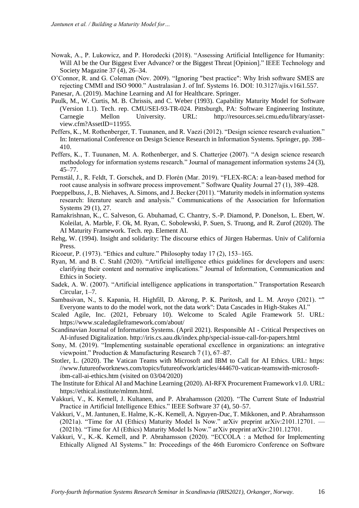- Nowak, A., P. Lukowicz, and P. Horodecki (2018). "Assessing Artificial Intelligence for Humanity: Will AI be the Our Biggest Ever Advance? or the Biggest Threat [Opinion]." IEEE Technology and Society Magazine 37 (4), 26–34.
- O'Connor, R. and G. Coleman (Nov. 2009). "Ignoring "best practice": Why Irish software SMES are rejecting CMMI and ISO 9000." Australasian J. of Inf. Systems 16. DOI: 10.3127/ajis.v16i1.557.
- Panesar, A. (2019). Machine Learning and AI for Healthcare. Springer.
- Paulk, M., W. Curtis, M. B. Chrissis, and C. Weber (1993). Capability Maturity Model for Software (Version 1.1). Tech. rep. CMU/SEI-93-TR-024. Pittsburgh, PA: Software Engineering Institute, Carnegie Mellon University. URL: http://resources.sei.cmu.edu/library/assetview.cfm?AssetID=11955.
- Peffers, K., M. Rothenberger, T. Tuunanen, and R. Vaezi (2012). "Design science research evaluation." In: International Conference on Design Science Research in Information Systems. Springer, pp. 398– 410.
- Peffers, K., T. Tuunanen, M. A. Rothenberger, and S. Chatterjee (2007). "A design science research methodology for information systems research." Journal of management information systems 24 (3), 45–77.
- Pernstål, J., R. Feldt, T. Gorschek, and D. Florén (Mar. 2019). "FLEX-RCA: a lean-based method for root cause analysis in software process improvement." Software Quality Journal 27 (1), 389–428.
- Poeppelbuss, J., B. Niehaves, A. Simons, and J. Becker (2011). "Maturity models in information systems research: literature search and analysis." Communications of the Association for Information Systems 29 (1), 27.
- Ramakrishnan, K., C. Salveson, G. Abuhamad, C. Chantry, S.-P. Diamond, P. Donelson, L. Ebert, W. Koleilat, A. Marble, F. Ok, M. Ryan, C. Sobolewski, P. Suen, S. Truong, and R. Zurof (2020). The AI Maturity Framework. Tech. rep. Element AI.
- Rehg, W. (1994). Insight and solidarity: The discourse ethics of Jürgen Habermas. Univ of California Press.
- Ricoeur, P. (1973). "Ethics and culture." Philosophy today 17 (2), 153–165.
- Ryan, M. and B. C. Stahl (2020). "Artificial intelligence ethics guidelines for developers and users: clarifying their content and normative implications." Journal of Information, Communication and Ethics in Society.
- Sadek, A. W. (2007). "Artificial intelligence applications in transportation." Transportation Research Circular, 1–7.
- Sambasivan, N., S. Kapania, H. Highfill, D. Akrong, P. K. Paritosh, and L. M. Aroyo (2021). "" Everyone wants to do the model work, not the data work": Data Cascades in High-Stakes AI."
- Scaled Agile, Inc. (2021, February 10). Welcome to Scaled Agile Framework 5!. URL: https://www.scaledagileframework.com/about/
- Scandinavian Journal of Information Systems. (April 2021). Responsible AI Critical Perspectives on AI-infused Digitalization. http://iris.cs.aau.dk/index.php/special-issue-call-for-papers.html
- Sony, M. (2019). "Implementing sustainable operational excellence in organizations: an integrative viewpoint." Production & Manufacturing Research 7 (1), 67–87.
- Stotler, L. (2020). The Vatican Teams with Microsoft and IBM to Call for AI Ethics. URL: https: //www.futureofworknews.com/topics/futureofwork/articles/444670-vatican-teamswith-microsoftibm-call-ai-ethics.htm (visited on 03/04/2020)
- The Institute for Ethical AI and Machine Learning (2020). AI-RFX Procurement Framework v1.0. URL: https://ethical.institute/mlmm.html.
- Vakkuri, V., K. Kemell, J. Kultanen, and P. Abrahamsson (2020). "The Current State of Industrial Practice in Artificial Intelligence Ethics." IEEE Software 37 (4), 50–57.
- Vakkuri, V., M. Jantunen, E. Halme, K.-K. Kemell, A. Nguyen-Duc, T. Mikkonen, and P. Abrahamsson (2021a). "Time for AI (Ethics) Maturity Model Is Now." arXiv preprint arXiv:2101.12701. — (2021b). "Time for AI (Ethics) Maturity Model Is Now." arXiv preprint arXiv:2101.12701.
- Vakkuri, V., K.-K. Kemell, and P. Abrahamsson (2020). "ECCOLA : a Method for Implementing Ethically Aligned AI Systems." In: Proceedings of the 46th Euromicro Conference on Software